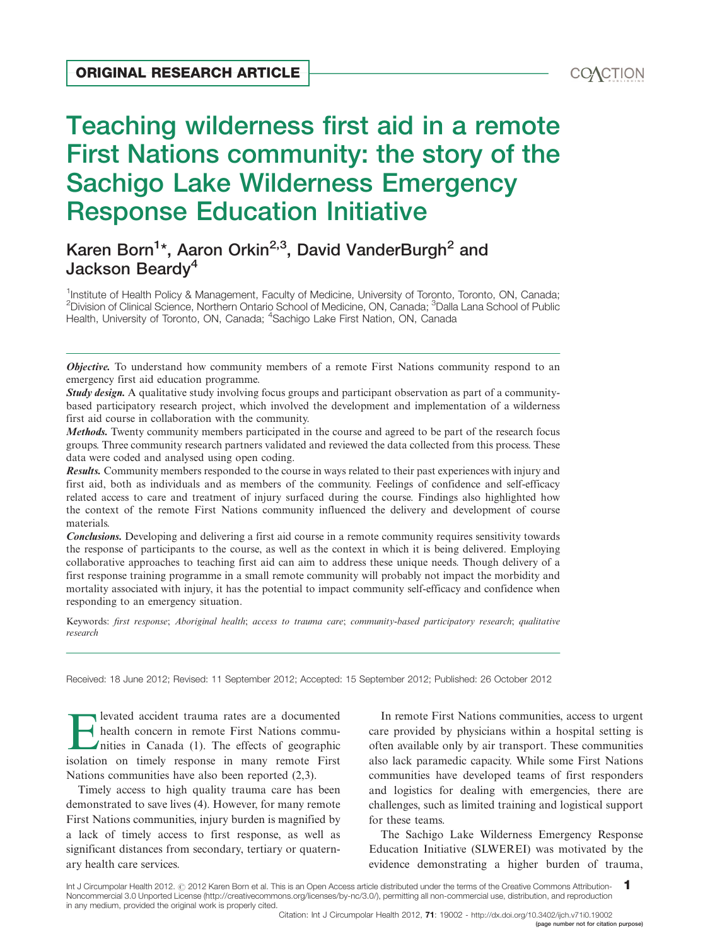# Teaching wilderness first aid in a remote First Nations community: the story of the Sachigo Lake Wilderness Emergency Response Education Initiative **ORIGINAL RESEARCH ARTICLE**<br> **Teaching wilderness first aid in a remote**<br>
First Nations community: the story of the<br>
Sachigo Lake Wilderness Emergency

# Karen Born<sup>1[\\*](#page-6-0)</sup>, Aaron Orkin<sup>2,3</sup>, David VanderBurgh<sup>2</sup> and Jackson Beardy<sup>4</sup>

<sup>1</sup>Institute of Health Policy & Management, Faculty of Medicine, University of Toronto, Toronto, ON, Canada; 2 Division of Clinical Science, Northern Ontario School of Medicine, ON, Canada; <sup>3</sup> Dalla Lana School of Public Health, University of Toronto, ON, Canada; <sup>4</sup>Sachigo Lake First Nation, ON, Canada

**Objective.** To understand how community members of a remote First Nations community respond to an emergency first aid education programme.

**Study design.** A qualitative study involving focus groups and participant observation as part of a communitybased participatory research project, which involved the development and implementation of a wilderness first aid course in collaboration with the community.

Methods. Twenty community members participated in the course and agreed to be part of the research focus groups. Three community research partners validated and reviewed the data collected from this process. These data were coded and analysed using open coding.

Results. Community members responded to the course in ways related to their past experiences with injury and first aid, both as individuals and as members of the community. Feelings of confidence and self-efficacy related access to care and treatment of injury surfaced during the course. Findings also highlighted how the context of the remote First Nations community influenced the delivery and development of course materials.

Conclusions. Developing and delivering a first aid course in a remote community requires sensitivity towards the response of participants to the course, as well as the context in which it is being delivered. Employing collaborative approaches to teaching first aid can aim to address these unique needs. Though delivery of a first response training programme in a small remote community will probably not impact the morbidity and mortality associated with injury, it has the potential to impact community self-efficacy and confidence when responding to an emergency situation.

Keywords: first response; Aboriginal health; access to trauma care; community-based participatory research; qualitative research

Received: 18 June 2012; Revised: 11 September 2012; Accepted: 15 September 2012; Published: 26 October 2012

Elevated accident trauma rates are a documented<br>health concern in remote First Nations commu-<br>nities in Canada (1). The effects of geographic<br>isolation on timely response in many remote First health concern in remote First Nations communities in Canada (1). The effects of geographic isolation on timely response in many remote First Nations communities have also been reported (2,3).

Timely access to high quality trauma care has been demonstrated to save lives (4). However, for many remote First Nations communities, injury burden is magnified by a lack of timely access to first response, as well as significant distances from secondary, tertiary or quaternary health care services.

In remote First Nations communities, access to urgent care provided by physicians within a hospital setting is often available only by air transport. These communities also lack paramedic capacity. While some First Nations communities have developed teams of first responders and logistics for dealing with emergencies, there are challenges, such as limited training and logistical support for these teams.

The Sachigo Lake Wilderness Emergency Response Education Initiative (SLWEREI) was motivated by the evidence demonstrating a higher burden of trauma,

Int J Circumpolar Health 2012. © 2012 Karen Born et al. This is an Open Access article distributed under the terms of the Creative Commons Attribution-Noncommercial 3.0 Unported License (http://creativecommons.org/licenses/by-nc/3.0/), permitting all non-commercial use, distribution, and reproduction in any medium, provided the original work is properly cited. 1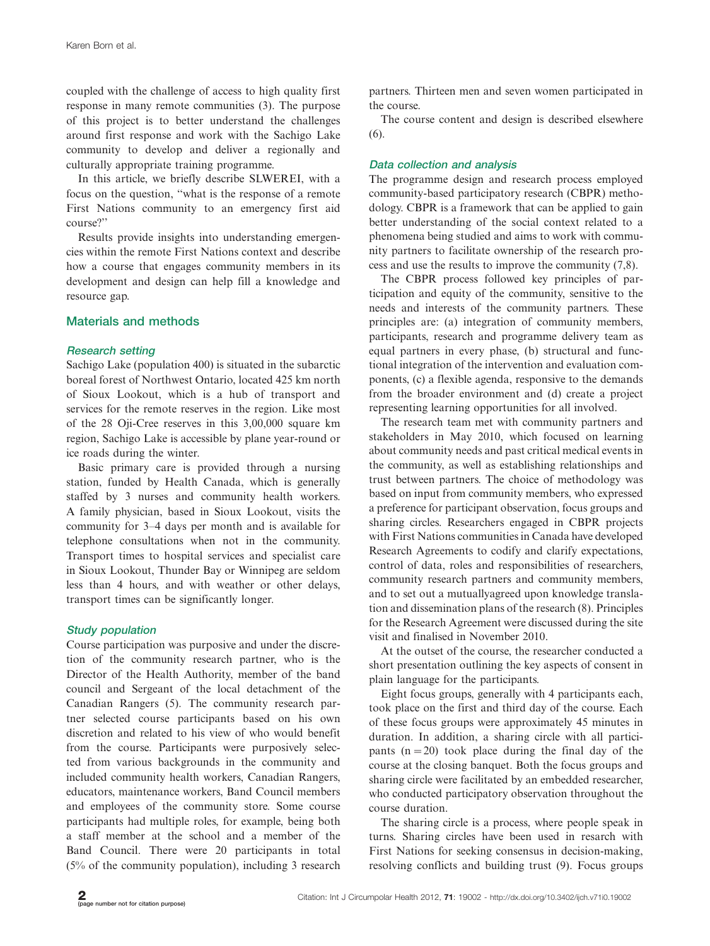coupled with the challenge of access to high quality first response in many remote communities (3). The purpose of this project is to better understand the challenges around first response and work with the Sachigo Lake community to develop and deliver a regionally and culturally appropriate training programme.

In this article, we briefly describe SLWEREI, with a focus on the question, ''what is the response of a remote First Nations community to an emergency first aid course?''

Results provide insights into understanding emergencies within the remote First Nations context and describe how a course that engages community members in its development and design can help fill a knowledge and resource gap.

### Materials and methods

### Research setting

Sachigo Lake (population 400) is situated in the subarctic boreal forest of Northwest Ontario, located 425 km north of Sioux Lookout, which is a hub of transport and services for the remote reserves in the region. Like most of the 28 Oji-Cree reserves in this 3,00,000 square km region, Sachigo Lake is accessible by plane year-round or ice roads during the winter.

Basic primary care is provided through a nursing station, funded by Health Canada, which is generally staffed by 3 nurses and community health workers. A family physician, based in Sioux Lookout, visits the community for 3-4 days per month and is available for telephone consultations when not in the community. Transport times to hospital services and specialist care in Sioux Lookout, Thunder Bay or Winnipeg are seldom less than 4 hours, and with weather or other delays, transport times can be significantly longer.

### Study population

Course participation was purposive and under the discretion of the community research partner, who is the Director of the Health Authority, member of the band council and Sergeant of the local detachment of the Canadian Rangers (5). The community research partner selected course participants based on his own discretion and related to his view of who would benefit from the course. Participants were purposively selected from various backgrounds in the community and included community health workers, Canadian Rangers, educators, maintenance workers, Band Council members and employees of the community store. Some course participants had multiple roles, for example, being both a staff member at the school and a member of the Band Council. There were 20 participants in total (5% of the community population), including 3 research

partners. Thirteen men and seven women participated in the course.

The course content and design is described elsewhere (6).

### Data collection and analysis

The programme design and research process employed community-based participatory research (CBPR) methodology. CBPR is a framework that can be applied to gain better understanding of the social context related to a phenomena being studied and aims to work with community partners to facilitate ownership of the research process and use the results to improve the community (7,8).

The CBPR process followed key principles of participation and equity of the community, sensitive to the needs and interests of the community partners. These principles are: (a) integration of community members, participants, research and programme delivery team as equal partners in every phase, (b) structural and functional integration of the intervention and evaluation components, (c) a flexible agenda, responsive to the demands from the broader environment and (d) create a project representing learning opportunities for all involved.

The research team met with community partners and stakeholders in May 2010, which focused on learning about community needs and past critical medical events in the community, as well as establishing relationships and trust between partners. The choice of methodology was based on input from community members, who expressed a preference for participant observation, focus groups and sharing circles. Researchers engaged in CBPR projects with First Nations communities in Canada have developed Research Agreements to codify and clarify expectations, control of data, roles and responsibilities of researchers, community research partners and community members, and to set out a mutuallyagreed upon knowledge translation and dissemination plans of the research (8). Principles for the Research Agreement were discussed during the site visit and finalised in November 2010.

At the outset of the course, the researcher conducted a short presentation outlining the key aspects of consent in plain language for the participants.

Eight focus groups, generally with 4 participants each, took place on the first and third day of the course. Each of these focus groups were approximately 45 minutes in duration. In addition, a sharing circle with all participants  $(n=20)$  took place during the final day of the course at the closing banquet. Both the focus groups and sharing circle were facilitated by an embedded researcher, who conducted participatory observation throughout the course duration.

The sharing circle is a process, where people speak in turns. Sharing circles have been used in resarch with First Nations for seeking consensus in decision-making, resolving conflicts and building trust (9). Focus groups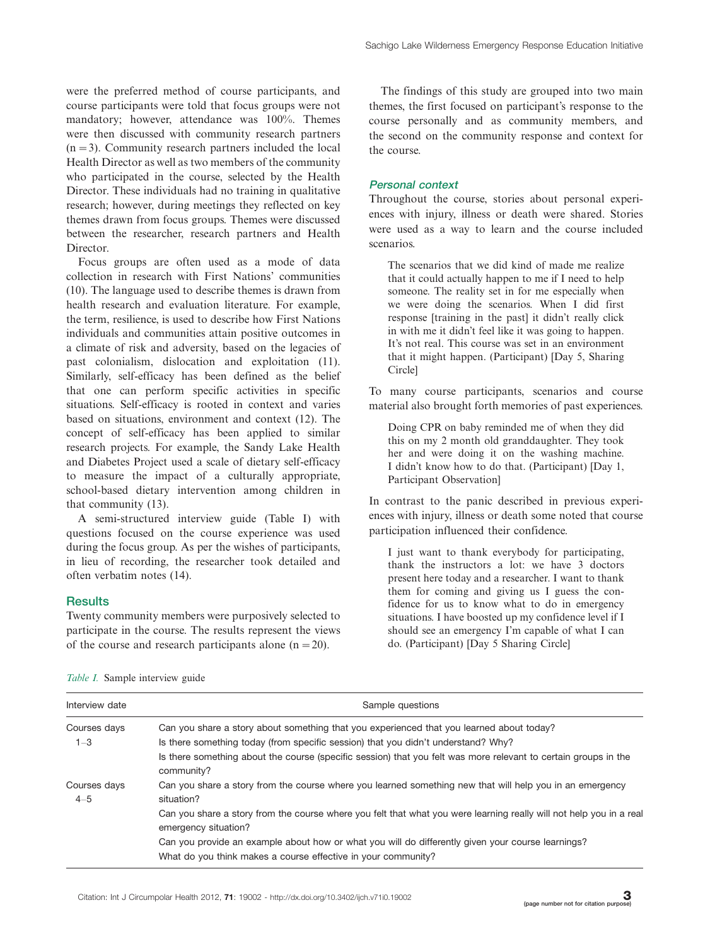were the preferred method of course participants, and course participants were told that focus groups were not mandatory; however, attendance was 100%. Themes were then discussed with community research partners  $(n=3)$ . Community research partners included the local Health Director as well as two members of the community who participated in the course, selected by the Health Director. These individuals had no training in qualitative research; however, during meetings they reflected on key themes drawn from focus groups. Themes were discussed between the researcher, research partners and Health Director.

Focus groups are often used as a mode of data collection in research with First Nations' communities (10). The language used to describe themes is drawn from health research and evaluation literature. For example, the term, resilience, is used to describe how First Nations individuals and communities attain positive outcomes in a climate of risk and adversity, based on the legacies of past colonialism, dislocation and exploitation (11). Similarly, self-efficacy has been defined as the belief that one can perform specific activities in specific situations. Self-efficacy is rooted in context and varies based on situations, environment and context (12). The concept of self-efficacy has been applied to similar research projects. For example, the Sandy Lake Health and Diabetes Project used a scale of dietary self-efficacy to measure the impact of a culturally appropriate, school-based dietary intervention among children in that community (13).

A semi-structured interview guide (Table I) with questions focused on the course experience was used during the focus group. As per the wishes of participants, in lieu of recording, the researcher took detailed and often verbatim notes (14).

### **Results**

Twenty community members were purposively selected to participate in the course. The results represent the views of the course and research participants alone  $(n=20)$ .

The findings of this study are grouped into two main themes, the first focused on participant's response to the course personally and as community members, and the second on the community response and context for the course.

### Personal context

Throughout the course, stories about personal experiences with injury, illness or death were shared. Stories were used as a way to learn and the course included scenarios.

The scenarios that we did kind of made me realize that it could actually happen to me if I need to help someone. The reality set in for me especially when we were doing the scenarios. When I did first response [training in the past] it didn't really click in with me it didn't feel like it was going to happen. It's not real. This course was set in an environment that it might happen. (Participant) [Day 5, Sharing Circle]

To many course participants, scenarios and course material also brought forth memories of past experiences.

Doing CPR on baby reminded me of when they did this on my 2 month old granddaughter. They took her and were doing it on the washing machine. I didn't know how to do that. (Participant) [Day 1, Participant Observation]

In contrast to the panic described in previous experiences with injury, illness or death some noted that course participation influenced their confidence.

I just want to thank everybody for participating, thank the instructors a lot: we have 3 doctors present here today and a researcher. I want to thank them for coming and giving us I guess the confidence for us to know what to do in emergency situations. I have boosted up my confidence level if I should see an emergency I'm capable of what I can do. (Participant) [Day 5 Sharing Circle]

| Interview date          | Sample questions                                                                                                                                                   |
|-------------------------|--------------------------------------------------------------------------------------------------------------------------------------------------------------------|
| Courses days            | Can you share a story about something that you experienced that you learned about today?                                                                           |
| $1 - 3$                 | Is there something today (from specific session) that you didn't understand? Why?                                                                                  |
|                         | Is there something about the course (specific session) that you felt was more relevant to certain groups in the<br>community?                                      |
| Courses days<br>$4 - 5$ | Can you share a story from the course where you learned something new that will help you in an emergency<br>situation?                                             |
|                         | Can you share a story from the course where you felt that what you were learning really will not help you in a real<br>emergency situation?                        |
|                         | Can you provide an example about how or what you will do differently given your course learnings?<br>What do you think makes a course effective in your community? |

Table I. Sample interview guide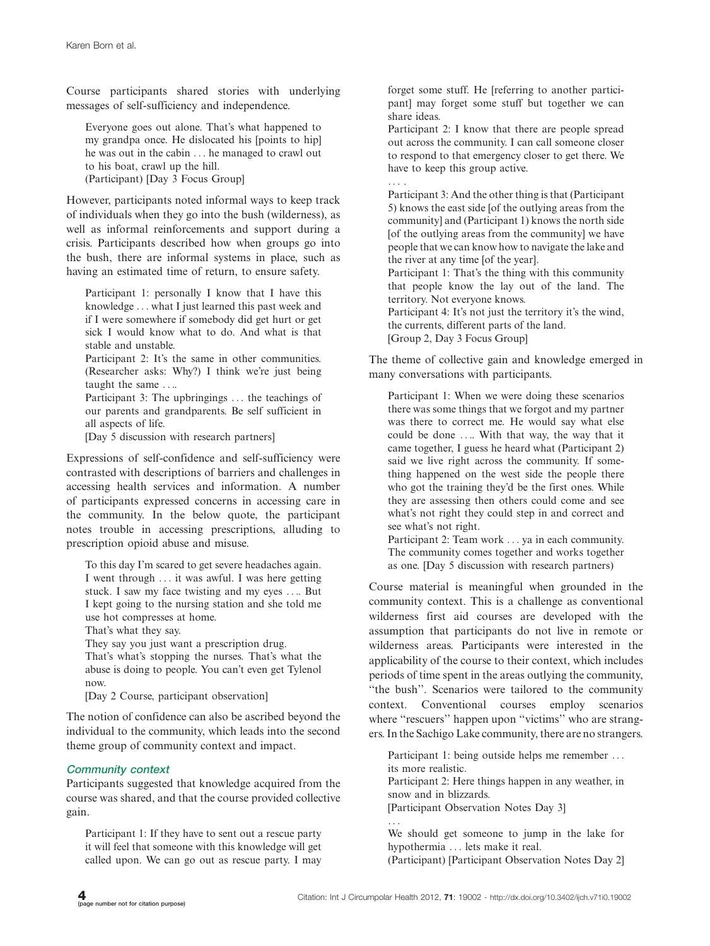Course participants shared stories with underlying messages of self-sufficiency and independence.

Everyone goes out alone. That's what happened to my grandpa once. He dislocated his [points to hip] he was out in the cabin ... he managed to crawl out to his boat, crawl up the hill. (Participant) [Day 3 Focus Group]

However, participants noted informal ways to keep track of individuals when they go into the bush (wilderness), as well as informal reinforcements and support during a crisis. Participants described how when groups go into the bush, there are informal systems in place, such as having an estimated time of return, to ensure safety.

Participant 1: personally I know that I have this knowledge ... what I just learned this past week and if I were somewhere if somebody did get hurt or get sick I would know what to do. And what is that stable and unstable.

Participant 2: It's the same in other communities. (Researcher asks: Why?) I think we're just being taught the same ....

Participant 3: The upbringings ... the teachings of our parents and grandparents. Be self sufficient in all aspects of life.

[Day 5 discussion with research partners]

Expressions of self-confidence and self-sufficiency were contrasted with descriptions of barriers and challenges in accessing health services and information. A number of participants expressed concerns in accessing care in the community. In the below quote, the participant notes trouble in accessing prescriptions, alluding to prescription opioid abuse and misuse.

To this day I'm scared to get severe headaches again. I went through ... it was awful. I was here getting stuck. I saw my face twisting and my eyes .... But I kept going to the nursing station and she told me use hot compresses at home.

That's what they say.

They say you just want a prescription drug. That's what's stopping the nurses. That's what the abuse is doing to people. You can't even get Tylenol now.

[Day 2 Course, participant observation]

The notion of confidence can also be ascribed beyond the individual to the community, which leads into the second theme group of community context and impact.

### Community context

Participants suggested that knowledge acquired from the course was shared, and that the course provided collective gain.

Participant 1: If they have to sent out a rescue party it will feel that someone with this knowledge will get called upon. We can go out as rescue party. I may

forget some stuff. He [referring to another participant] may forget some stuff but together we can share ideas.

Participant 2: I know that there are people spread out across the community. I can call someone closer to respond to that emergency closer to get there. We have to keep this group active.

... .

Participant 3: And the other thing is that (Participant 5) knows the east side [of the outlying areas from the community] and (Participant 1) knows the north side [of the outlying areas from the community] we have people that we can know how to navigate the lake and the river at any time [of the year].

Participant 1: That's the thing with this community that people know the lay out of the land. The territory. Not everyone knows.

Participant 4: It's not just the territory it's the wind, the currents, different parts of the land. [Group 2, Day 3 Focus Group]

The theme of collective gain and knowledge emerged in many conversations with participants.

Participant 1: When we were doing these scenarios there was some things that we forgot and my partner was there to correct me. He would say what else could be done .... With that way, the way that it came together, I guess he heard what (Participant 2) said we live right across the community. If something happened on the west side the people there who got the training they'd be the first ones. While they are assessing then others could come and see what's not right they could step in and correct and see what's not right.

Participant 2: Team work ... ya in each community. The community comes together and works together as one. [Day 5 discussion with research partners)

Course material is meaningful when grounded in the community context. This is a challenge as conventional wilderness first aid courses are developed with the assumption that participants do not live in remote or wilderness areas. Participants were interested in the applicability of the course to their context, which includes periods of time spent in the areas outlying the community, "the bush". Scenarios were tailored to the community context. Conventional courses employ scenarios where "rescuers" happen upon "victims" who are strangers. In the Sachigo Lake community, there are no strangers.

Participant 1: being outside helps me remember ... its more realistic. Participant 2: Here things happen in any weather, in snow and in blizzards. [Participant Observation Notes Day 3] ... We should get someone to jump in the lake for

hypothermia ... lets make it real. (Participant) [Participant Observation Notes Day 2]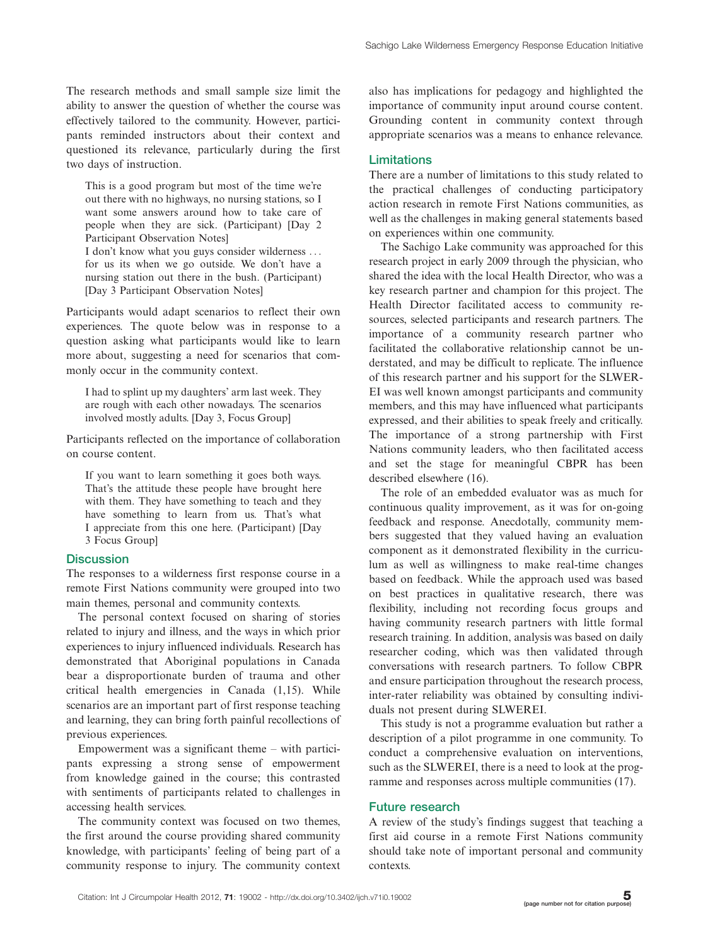The research methods and small sample size limit the ability to answer the question of whether the course was effectively tailored to the community. However, participants reminded instructors about their context and questioned its relevance, particularly during the first two days of instruction.

This is a good program but most of the time we're out there with no highways, no nursing stations, so I want some answers around how to take care of people when they are sick. (Participant) [Day 2 Participant Observation Notes]

I don't know what you guys consider wilderness ... for us its when we go outside. We don't have a nursing station out there in the bush. (Participant) [Day 3 Participant Observation Notes]

Participants would adapt scenarios to reflect their own experiences. The quote below was in response to a question asking what participants would like to learn more about, suggesting a need for scenarios that commonly occur in the community context.

I had to splint up my daughters' arm last week. They are rough with each other nowadays. The scenarios involved mostly adults. [Day 3, Focus Group]

Participants reflected on the importance of collaboration on course content.

If you want to learn something it goes both ways. That's the attitude these people have brought here with them. They have something to teach and they have something to learn from us. That's what I appreciate from this one here. (Participant) [Day 3 Focus Group]

### **Discussion**

The responses to a wilderness first response course in a remote First Nations community were grouped into two main themes, personal and community contexts.

The personal context focused on sharing of stories related to injury and illness, and the ways in which prior experiences to injury influenced individuals. Research has demonstrated that Aboriginal populations in Canada bear a disproportionate burden of trauma and other critical health emergencies in Canada (1,15). While scenarios are an important part of first response teaching and learning, they can bring forth painful recollections of previous experiences.

Empowerment was a significant theme – with participants expressing a strong sense of empowerment from knowledge gained in the course; this contrasted with sentiments of participants related to challenges in accessing health services.

The community context was focused on two themes, the first around the course providing shared community knowledge, with participants' feeling of being part of a community response to injury. The community context also has implications for pedagogy and highlighted the importance of community input around course content. Grounding content in community context through appropriate scenarios was a means to enhance relevance.

## Limitations

There are a number of limitations to this study related to the practical challenges of conducting participatory action research in remote First Nations communities, as well as the challenges in making general statements based on experiences within one community.

The Sachigo Lake community was approached for this research project in early 2009 through the physician, who shared the idea with the local Health Director, who was a key research partner and champion for this project. The Health Director facilitated access to community resources, selected participants and research partners. The importance of a community research partner who facilitated the collaborative relationship cannot be understated, and may be difficult to replicate. The influence of this research partner and his support for the SLWER-EI was well known amongst participants and community members, and this may have influenced what participants expressed, and their abilities to speak freely and critically. The importance of a strong partnership with First Nations community leaders, who then facilitated access and set the stage for meaningful CBPR has been described elsewhere (16).

The role of an embedded evaluator was as much for continuous quality improvement, as it was for on-going feedback and response. Anecdotally, community members suggested that they valued having an evaluation component as it demonstrated flexibility in the curriculum as well as willingness to make real-time changes based on feedback. While the approach used was based on best practices in qualitative research, there was flexibility, including not recording focus groups and having community research partners with little formal research training. In addition, analysis was based on daily researcher coding, which was then validated through conversations with research partners. To follow CBPR and ensure participation throughout the research process, inter-rater reliability was obtained by consulting individuals not present during SLWEREI.

This study is not a programme evaluation but rather a description of a pilot programme in one community. To conduct a comprehensive evaluation on interventions, such as the SLWEREI, there is a need to look at the programme and responses across multiple communities (17).

## Future research

A review of the study's findings suggest that teaching a first aid course in a remote First Nations community should take note of important personal and community contexts.

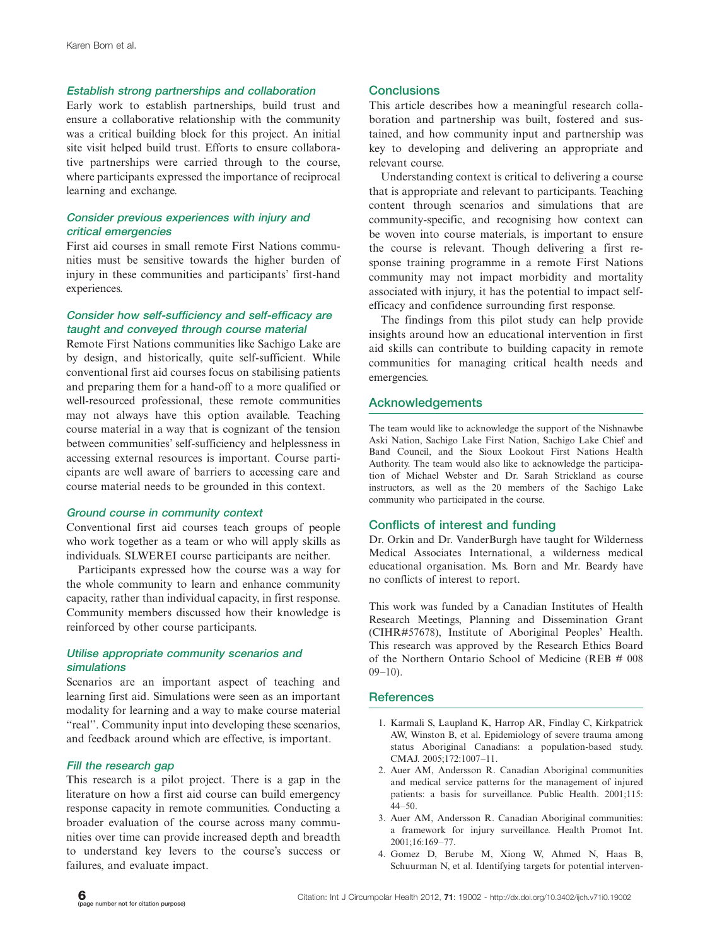### Establish strong partnerships and collaboration

Early work to establish partnerships, build trust and ensure a collaborative relationship with the community was a critical building block for this project. An initial site visit helped build trust. Efforts to ensure collaborative partnerships were carried through to the course, where participants expressed the importance of reciprocal learning and exchange.

# Consider previous experiences with injury and critical emergencies

First aid courses in small remote First Nations communities must be sensitive towards the higher burden of injury in these communities and participants' first-hand experiences.

### Consider how self-sufficiency and self-efficacy are taught and conveyed through course material

Remote First Nations communities like Sachigo Lake are by design, and historically, quite self-sufficient. While conventional first aid courses focus on stabilising patients and preparing them for a hand-off to a more qualified or well-resourced professional, these remote communities may not always have this option available. Teaching course material in a way that is cognizant of the tension between communities' self-sufficiency and helplessness in accessing external resources is important. Course participants are well aware of barriers to accessing care and course material needs to be grounded in this context.

### Ground course in community context

Conventional first aid courses teach groups of people who work together as a team or who will apply skills as individuals. SLWEREI course participants are neither.

Participants expressed how the course was a way for the whole community to learn and enhance community capacity, rather than individual capacity, in first response. Community members discussed how their knowledge is reinforced by other course participants.

### Utilise appropriate community scenarios and simulations

Scenarios are an important aspect of teaching and learning first aid. Simulations were seen as an important modality for learning and a way to make course material "real". Community input into developing these scenarios, and feedback around which are effective, is important.

### Fill the research gap

This research is a pilot project. There is a gap in the literature on how a first aid course can build emergency response capacity in remote communities. Conducting a broader evaluation of the course across many communities over time can provide increased depth and breadth to understand key levers to the course's success or failures, and evaluate impact.

## **Conclusions**

This article describes how a meaningful research collaboration and partnership was built, fostered and sustained, and how community input and partnership was key to developing and delivering an appropriate and relevant course.

Understanding context is critical to delivering a course that is appropriate and relevant to participants. Teaching content through scenarios and simulations that are community-specific, and recognising how context can be woven into course materials, is important to ensure the course is relevant. Though delivering a first response training programme in a remote First Nations community may not impact morbidity and mortality associated with injury, it has the potential to impact selfefficacy and confidence surrounding first response.

The findings from this pilot study can help provide insights around how an educational intervention in first aid skills can contribute to building capacity in remote communities for managing critical health needs and emergencies.

### Acknowledgements

The team would like to acknowledge the support of the Nishnawbe Aski Nation, Sachigo Lake First Nation, Sachigo Lake Chief and Band Council, and the Sioux Lookout First Nations Health Authority. The team would also like to acknowledge the participation of Michael Webster and Dr. Sarah Strickland as course instructors, as well as the 20 members of the Sachigo Lake community who participated in the course.

### Conflicts of interest and funding

Dr. Orkin and Dr. VanderBurgh have taught for Wilderness Medical Associates International, a wilderness medical educational organisation. Ms. Born and Mr. Beardy have no conflicts of interest to report.

This work was funded by a Canadian Institutes of Health Research Meetings, Planning and Dissemination Grant (CIHR#57678), Institute of Aboriginal Peoples' Health. This research was approved by the Research Ethics Board of the Northern Ontario School of Medicine (REB # 008  $09 - 10$ ).

### **References**

- 1. Karmali S, Laupland K, Harrop AR, Findlay C, Kirkpatrick AW, Winston B, et al. Epidemiology of severe trauma among status Aboriginal Canadians: a population-based study. CMAJ. 2005;172:1007-11.
- 2. Auer AM, Andersson R. Canadian Aboriginal communities and medical service patterns for the management of injured patients: a basis for surveillance. Public Health. 2001;115: 44-50.
- 3. Auer AM, Andersson R. Canadian Aboriginal communities: a framework for injury surveillance. Health Promot Int. 2001;16:169-77.
- 4. Gomez D, Berube M, Xiong W, Ahmed N, Haas B, Schuurman N, et al. Identifying targets for potential interven-